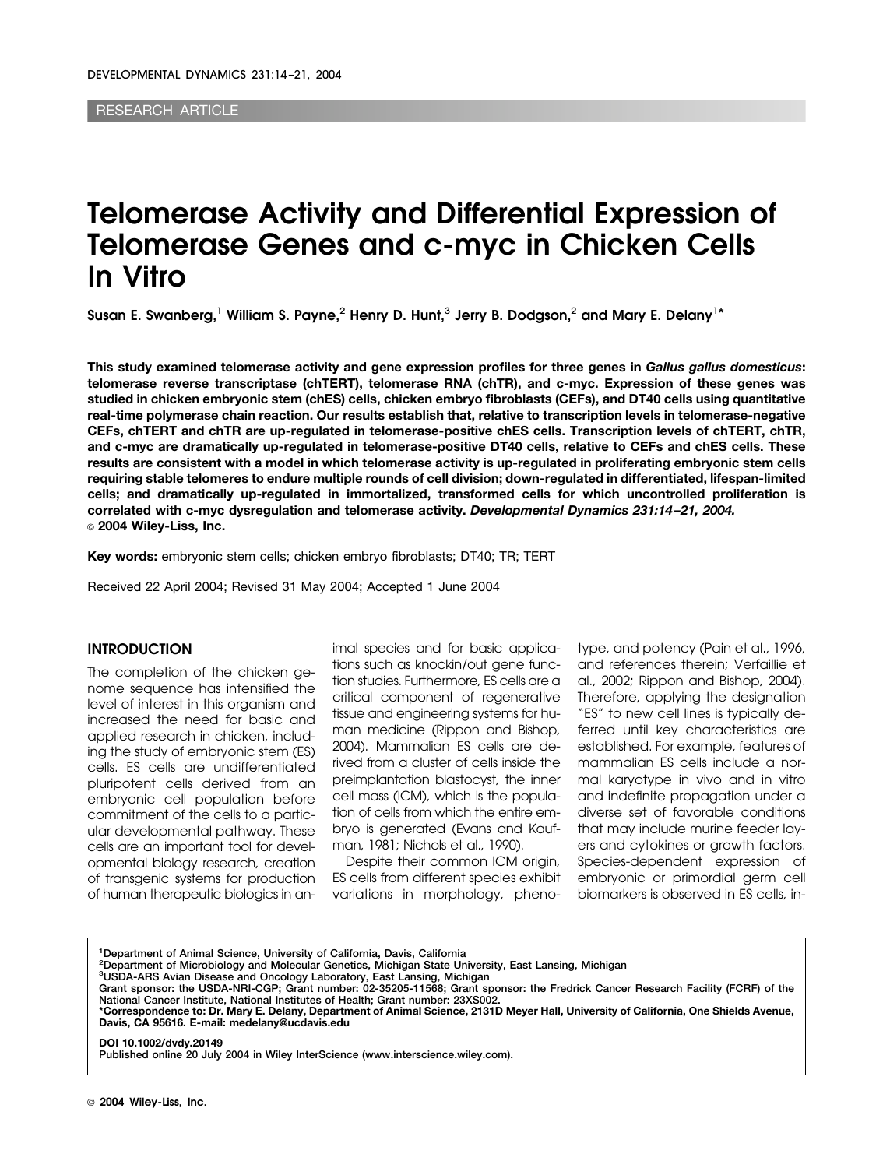RESEARCH ARTICLE

# **Telomerase Activity and Differential Expression of Telomerase Genes and c-myc in Chicken Cells In Vitro**

**Susan E. Swanberg,**<sup>1</sup> **William S. Payne,**<sup>2</sup> **Henry D. Hunt,**<sup>3</sup> **Jerry B. Dodgson,**<sup>2</sup> **and Mary E. Delany**1**\***

**This study examined telomerase activity and gene expression profiles for three genes in** *Gallus gallus domesticus***: telomerase reverse transcriptase (chTERT), telomerase RNA (chTR), and c-myc. Expression of these genes was studied in chicken embryonic stem (chES) cells, chicken embryo fibroblasts (CEFs), and DT40 cells using quantitative real-time polymerase chain reaction. Our results establish that, relative to transcription levels in telomerase-negative CEFs, chTERT and chTR are up-regulated in telomerase-positive chES cells. Transcription levels of chTERT, chTR, and c-myc are dramatically up-regulated in telomerase-positive DT40 cells, relative to CEFs and chES cells. These results are consistent with a model in which telomerase activity is up-regulated in proliferating embryonic stem cells requiring stable telomeres to endure multiple rounds of cell division; down-regulated in differentiated, lifespan-limited cells; and dramatically up-regulated in immortalized, transformed cells for which uncontrolled proliferation is correlated with c-myc dysregulation and telomerase activity.** *Developmental Dynamics 231:14 –21, 2004.* © **2004 Wiley-Liss, Inc.**

**Key words:** embryonic stem cells; chicken embryo fibroblasts; DT40; TR; TERT

Received 22 April 2004; Revised 31 May 2004; Accepted 1 June 2004

#### **INTRODUCTION**

The completion of the chicken genome sequence has intensified the level of interest in this organism and increased the need for basic and applied research in chicken, including the study of embryonic stem (ES) cells. ES cells are undifferentiated pluripotent cells derived from an embryonic cell population before commitment of the cells to a particular developmental pathway. These cells are an important tool for developmental biology research, creation of transgenic systems for production of human therapeutic biologics in animal species and for basic applications such as knockin/out gene function studies. Furthermore, ES cells are a critical component of regenerative tissue and engineering systems for human medicine (Rippon and Bishop, 2004). Mammalian ES cells are derived from a cluster of cells inside the preimplantation blastocyst, the inner cell mass (ICM), which is the population of cells from which the entire embryo is generated (Evans and Kaufman, 1981; Nichols et al., 1990).

Despite their common ICM origin, ES cells from different species exhibit variations in morphology, phenotype, and potency (Pain et al., 1996, and references therein; Verfaillie et al., 2002; Rippon and Bishop, 2004). Therefore, applying the designation "ES" to new cell lines is typically deferred until key characteristics are established. For example, features of mammalian ES cells include a normal karyotype in vivo and in vitro and indefinite propagation under a diverse set of favorable conditions that may include murine feeder layers and cytokines or growth factors. Species-dependent expression of embryonic or primordial germ cell biomarkers is observed in ES cells, in-

**1 Department of Animal Science, University of California, Davis, California**

**2 Department of Microbiology and Molecular Genetics, Michigan State University, East Lansing, Michigan**

**3 USDA-ARS Avian Disease and Oncology Laboratory, East Lansing, Michigan Grant sponsor: the USDA-NRI-CGP; Grant number: 02-35205-11568; Grant sponsor: the Fredrick Cancer Research Facility (FCRF) of the National Cancer Institute, National Institutes of Health; Grant number: 23XS002.**

**\*Correspondence to: Dr. Mary E. Delany, Department of Animal Science, 2131D Meyer Hall, University of California, One Shields Avenue, Davis, CA 95616. E-mail: medelany@ucdavis.edu**

**DOI 10.1002/dvdy.20149 Published online 20 July 2004 in Wiley InterScience (www.interscience.wiley.com).**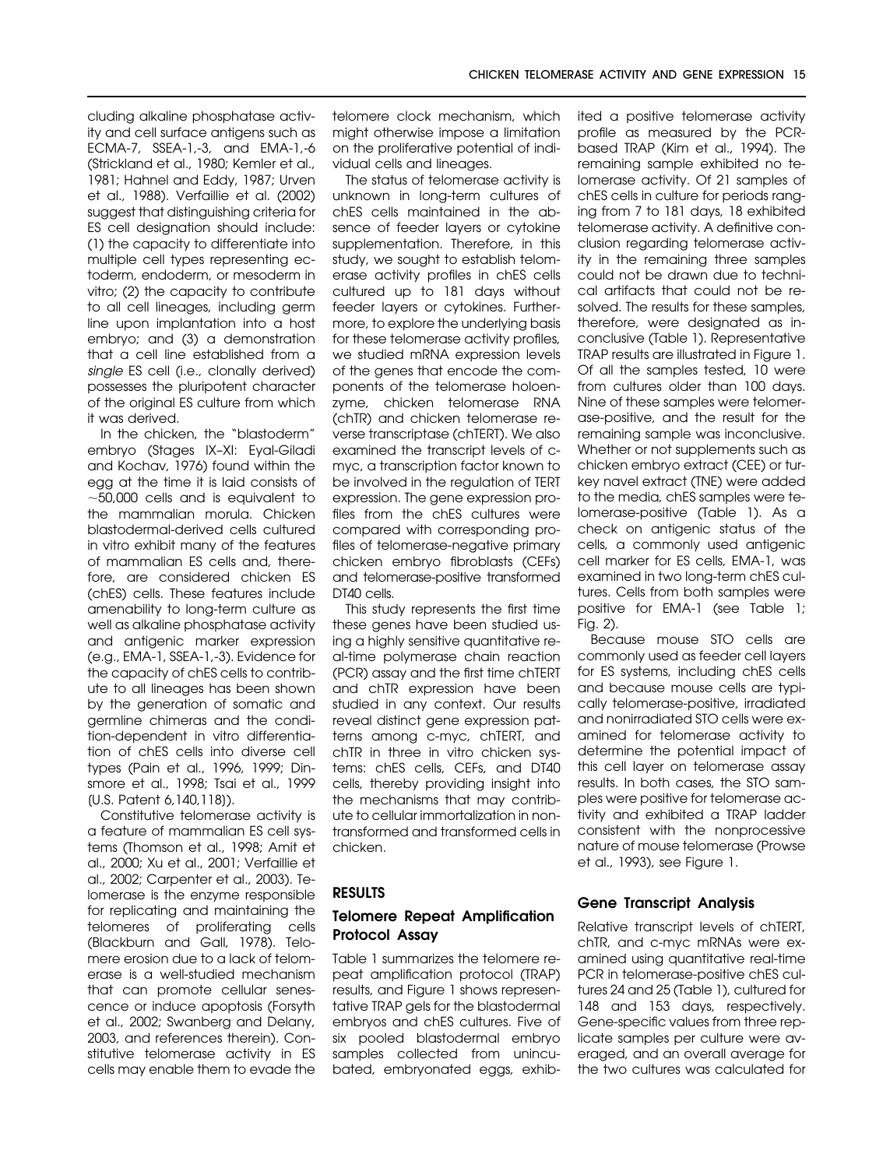cluding alkaline phosphatase activity and cell surface antigens such as ECMA-7, SSEA-1,-3, and EMA-1,-6 (Strickland et al., 1980; Kemler et al., 1981; Hahnel and Eddy, 1987; Urven et al., 1988). Verfaillie et al. (2002) suggest that distinguishing criteria for ES cell designation should include: (1) the capacity to differentiate into multiple cell types representing ectoderm, endoderm, or mesoderm in vitro; (2) the capacity to contribute to all cell lineages, including germ line upon implantation into a host embryo; and (3) a demonstration that a cell line established from a single ES cell (i.e., clonally derived) possesses the pluripotent character of the original ES culture from which it was derived.

In the chicken, the "blastoderm" embryo (Stages IX–XI: Eyal-Giladi and Kochav, 1976) found within the egg at the time it is laid consists of  $\sim$ 50,000 cells and is equivalent to the mammalian morula. Chicken blastodermal-derived cells cultured in vitro exhibit many of the features of mammalian ES cells and, therefore, are considered chicken ES (chES) cells. These features include amenability to long-term culture as well as alkaline phosphatase activity and antigenic marker expression (e.g., EMA-1, SSEA-1,-3). Evidence for the capacity of chES cells to contribute to all lineages has been shown by the generation of somatic and germline chimeras and the condition-dependent in vitro differentiation of chES cells into diverse cell types (Pain et al., 1996, 1999; Dinsmore et al., 1998; Tsai et al., 1999 [U.S. Patent 6,140,118]).

Constitutive telomerase activity is a feature of mammalian ES cell systems (Thomson et al., 1998; Amit et al., 2000; Xu et al., 2001; Verfaillie et al., 2002; Carpenter et al., 2003). Telomerase is the enzyme responsible for replicating and maintaining the telomeres of proliferating cells (Blackburn and Gall, 1978). Telomere erosion due to a lack of telomerase is a well-studied mechanism that can promote cellular senescence or induce apoptosis (Forsyth et al., 2002; Swanberg and Delany, 2003, and references therein). Constitutive telomerase activity in ES cells may enable them to evade the

telomere clock mechanism, which might otherwise impose a limitation on the proliferative potential of individual cells and lineages.

The status of telomerase activity is unknown in long-term cultures of chES cells maintained in the absence of feeder layers or cytokine supplementation. Therefore, in this study, we sought to establish telomerase activity profiles in chES cells cultured up to 181 days without feeder layers or cytokines. Furthermore, to explore the underlying basis for these telomerase activity profiles, we studied mRNA expression levels of the genes that encode the components of the telomerase holoenzyme, chicken telomerase RNA (chTR) and chicken telomerase reverse transcriptase (chTERT). We also examined the transcript levels of cmyc, a transcription factor known to be involved in the regulation of TERT expression. The gene expression profiles from the chES cultures were compared with corresponding profiles of telomerase-negative primary chicken embryo fibroblasts (CEFs) and telomerase-positive transformed DT40 cells.

This study represents the first time these genes have been studied using a highly sensitive quantitative real-time polymerase chain reaction (PCR) assay and the first time chTERT and chTR expression have been studied in any context. Our results reveal distinct gene expression patterns among c-myc, chTERT, and chTR in three in vitro chicken systems: chES cells, CEFs, and DT40 cells, thereby providing insight into the mechanisms that may contribute to cellular immortalization in nontransformed and transformed cells in chicken.

## **RESULTS**

# **Telomere Repeat Amplification Protocol Assay**

Table 1 summarizes the telomere repeat amplification protocol (TRAP) results, and Figure 1 shows representative TRAP gels for the blastodermal embryos and chES cultures. Five of six pooled blastodermal embryo samples collected from unincubated, embryonated eggs, exhibited a positive telomerase activity profile as measured by the PCRbased TRAP (Kim et al., 1994). The remaining sample exhibited no telomerase activity. Of 21 samples of chES cells in culture for periods ranging from 7 to 181 days, 18 exhibited telomerase activity. A definitive conclusion regarding telomerase activity in the remaining three samples could not be drawn due to technical artifacts that could not be resolved. The results for these samples, therefore, were designated as inconclusive (Table 1). Representative TRAP results are illustrated in Figure 1. Of all the samples tested, 10 were from cultures older than 100 days. Nine of these samples were telomerase-positive, and the result for the remaining sample was inconclusive. Whether or not supplements such as chicken embryo extract (CEE) or turkey navel extract (TNE) were added to the media, chES samples were telomerase-positive (Table 1). As a check on antigenic status of the cells, a commonly used antigenic cell marker for ES cells, EMA-1, was examined in two long-term chES cultures. Cells from both samples were positive for EMA-1 (see Table 1; Fig. 2).

Because mouse STO cells are commonly used as feeder cell layers for ES systems, including chES cells and because mouse cells are typically telomerase-positive, irradiated and nonirradiated STO cells were examined for telomerase activity to determine the potential impact of this cell layer on telomerase assay results. In both cases, the STO samples were positive for telomerase activity and exhibited a TRAP ladder consistent with the nonprocessive nature of mouse telomerase (Prowse et al., 1993), see Figure 1.

# **Gene Transcript Analysis**

Relative transcript levels of chTERT, chTR, and c-myc mRNAs were examined using quantitative real-time PCR in telomerase-positive chES cultures 24 and 25 (Table 1), cultured for 148 and 153 days, respectively. Gene-specific values from three replicate samples per culture were averaged, and an overall average for the two cultures was calculated for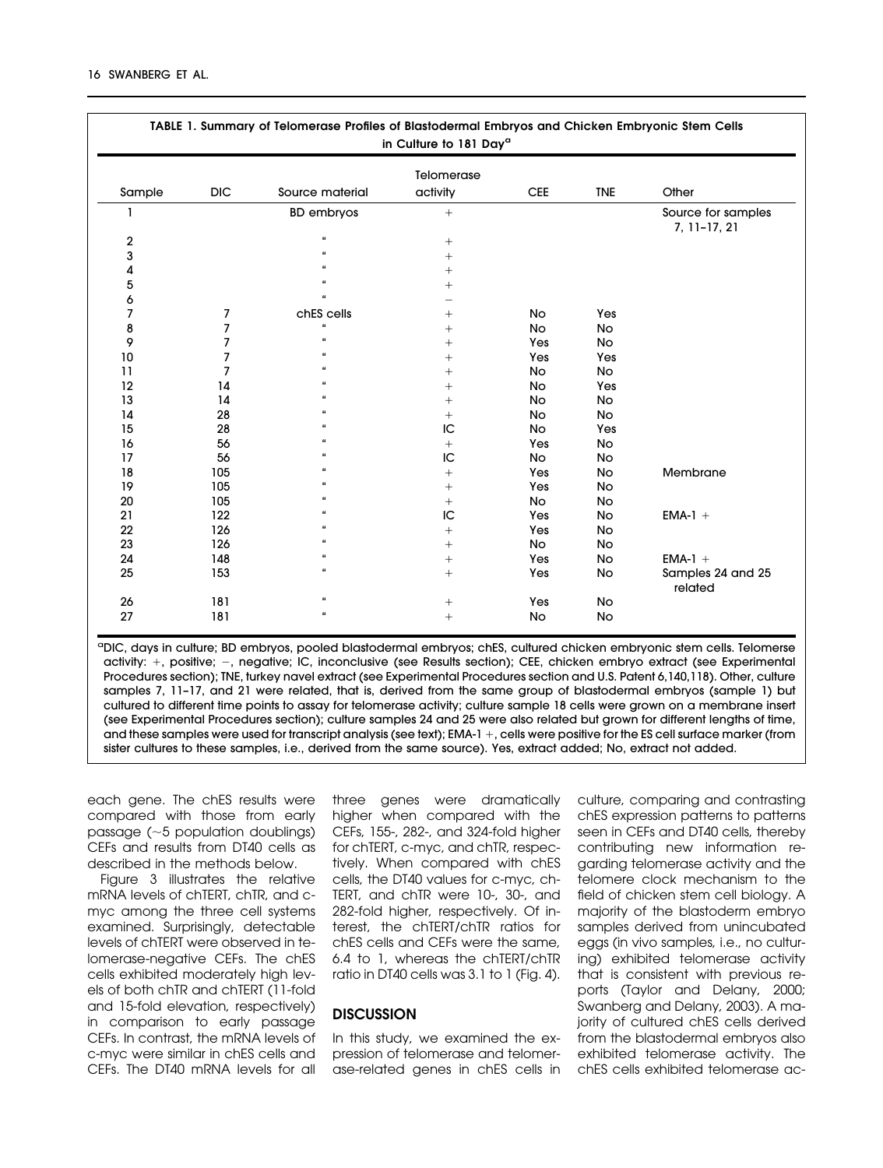| TABLE 1. Summary of Telomerase Profiles of Blastodermal Embryos and Chicken Embryonic Stem Cells<br>in Culture to 181 Day <sup>a</sup> |            |                      |                 |            |            |                                    |  |
|----------------------------------------------------------------------------------------------------------------------------------------|------------|----------------------|-----------------|------------|------------|------------------------------------|--|
| Telomerase                                                                                                                             |            |                      |                 |            |            |                                    |  |
| Sample                                                                                                                                 | <b>DIC</b> | Source material      | activity        | <b>CEE</b> | <b>TNE</b> | Other                              |  |
| 1                                                                                                                                      |            | <b>BD</b> embryos    | $^{+}$          |            |            | Source for samples<br>7, 11-17, 21 |  |
| $\overline{2}$                                                                                                                         |            | $\pmb{\mathfrak{c}}$ | $^{+}$          |            |            |                                    |  |
| 3                                                                                                                                      |            | $\alpha$             | $^{+}$          |            |            |                                    |  |
| 4                                                                                                                                      |            |                      | $^{+}$          |            |            |                                    |  |
| 5                                                                                                                                      |            | $\epsilon$           | $^{+}$          |            |            |                                    |  |
| 6                                                                                                                                      |            | $\alpha$             |                 |            |            |                                    |  |
| 7                                                                                                                                      | 7          | chES cells           | $+$             | No         | Yes        |                                    |  |
| 8                                                                                                                                      | 7          | $\mathbf{a}$         | $^{+}$          | <b>No</b>  | <b>No</b>  |                                    |  |
| 9                                                                                                                                      | 7          | $\epsilon$           | $^{+}$          | Yes        | No         |                                    |  |
| 10                                                                                                                                     | 7          | $\epsilon$           | $^{+}$          | Yes        | Yes        |                                    |  |
| 11                                                                                                                                     | 7          |                      | $^{+}$          | No         | <b>No</b>  |                                    |  |
| 12                                                                                                                                     | 14         |                      | $^{+}$          | No         | Yes        |                                    |  |
| 13                                                                                                                                     | 14         |                      | $^{+}$          | No         | No         |                                    |  |
| 14                                                                                                                                     | 28         |                      | $^{+}$          | <b>No</b>  | <b>No</b>  |                                    |  |
| 15                                                                                                                                     | 28         |                      | IC              | <b>No</b>  | Yes        |                                    |  |
| 16                                                                                                                                     | 56         |                      | $^{+}$          | Yes        | No         |                                    |  |
| 17                                                                                                                                     | 56         |                      | IC              | <b>No</b>  | No         |                                    |  |
| 18                                                                                                                                     | 105        |                      | $^{+}$          | Yes        | No         | Membrane                           |  |
| 19                                                                                                                                     | 105        |                      | $^{+}$          | Yes        | No         |                                    |  |
| 20                                                                                                                                     | 105        |                      | $^{+}$          | <b>No</b>  | No         |                                    |  |
| 21                                                                                                                                     | 122        |                      | IC              | Yes        | No         | $EMA-1 +$                          |  |
| 22                                                                                                                                     | 126        |                      | $^{+}$          | Yes        | No         |                                    |  |
| 23                                                                                                                                     | 126        |                      | $^{+}$          | <b>No</b>  | <b>No</b>  |                                    |  |
| 24                                                                                                                                     | 148        | $\epsilon$           |                 | Yes        | No         | $EMA-1 +$                          |  |
| 25                                                                                                                                     | 153        | $\epsilon$           | $^{+}$          | Yes        | No         | Samples 24 and 25<br>related       |  |
| 26                                                                                                                                     | 181        | $\epsilon$           | $\! + \!\!\!\!$ | Yes        | No         |                                    |  |
| 27                                                                                                                                     | 181        | $\pmb{\epsilon}$     | $^{+}$          | No         | No         |                                    |  |

aDIC, days in culture; BD embryos, pooled blastodermal embryos; chES, cultured chicken embryonic stem cells. Telomerse activity: +, positive; –, negative; IC, inconclusive (see Results section); CEE, chicken embryo extract (see Experimental Procedures section); TNE, turkey navel extract (see Experimental Procedures section and U.S. Patent 6,140,118). Other, culture samples 7, 11-17, and 21 were related, that is, derived from the same group of blastodermal embryos (sample 1) but cultured to different time points to assay for telomerase activity; culture sample 18 cells were grown on a membrane insert (see Experimental Procedures section); culture samples 24 and 25 were also related but grown for different lengths of time, and these samples were used for transcript analysis (see text); EMA-1 +, cells were positive for the ES cell surface marker (from sister cultures to these samples, i.e., derived from the same source). Yes, extract added; No, extract not added.

each gene. The chES results were compared with those from early passage  $(-5$  population doublings) CEFs and results from DT40 cells as described in the methods below.

Figure 3 illustrates the relative mRNA levels of chTERT, chTR, and cmyc among the three cell systems examined. Surprisingly, detectable levels of chTERT were observed in telomerase-negative CEFs. The chES cells exhibited moderately high levels of both chTR and chTERT (11-fold and 15-fold elevation, respectively) in comparison to early passage CEFs. In contrast, the mRNA levels of c-myc were similar in chES cells and CEFs. The DT40 mRNA levels for all

three genes were dramatically higher when compared with the CEFs, 155-, 282-, and 324-fold higher for chTERT, c-myc, and chTR, respectively. When compared with chES cells, the DT40 values for c-myc, ch-TERT, and chTR were 10-, 30-, and 282-fold higher, respectively. Of interest, the chTERT/chTR ratios for chES cells and CEFs were the same, 6.4 to 1, whereas the chTERT/chTR ratio in DT40 cells was 3.1 to 1 (Fig. 4).

# **DISCUSSION**

In this study, we examined the expression of telomerase and telomerase-related genes in chES cells in culture, comparing and contrasting chES expression patterns to patterns seen in CEFs and DT40 cells, thereby contributing new information regarding telomerase activity and the telomere clock mechanism to the field of chicken stem cell biology. A majority of the blastoderm embryo samples derived from unincubated eggs (in vivo samples, i.e., no culturing) exhibited telomerase activity that is consistent with previous reports (Taylor and Delany, 2000; Swanberg and Delany, 2003). A majority of cultured chES cells derived from the blastodermal embryos also exhibited telomerase activity. The chES cells exhibited telomerase ac-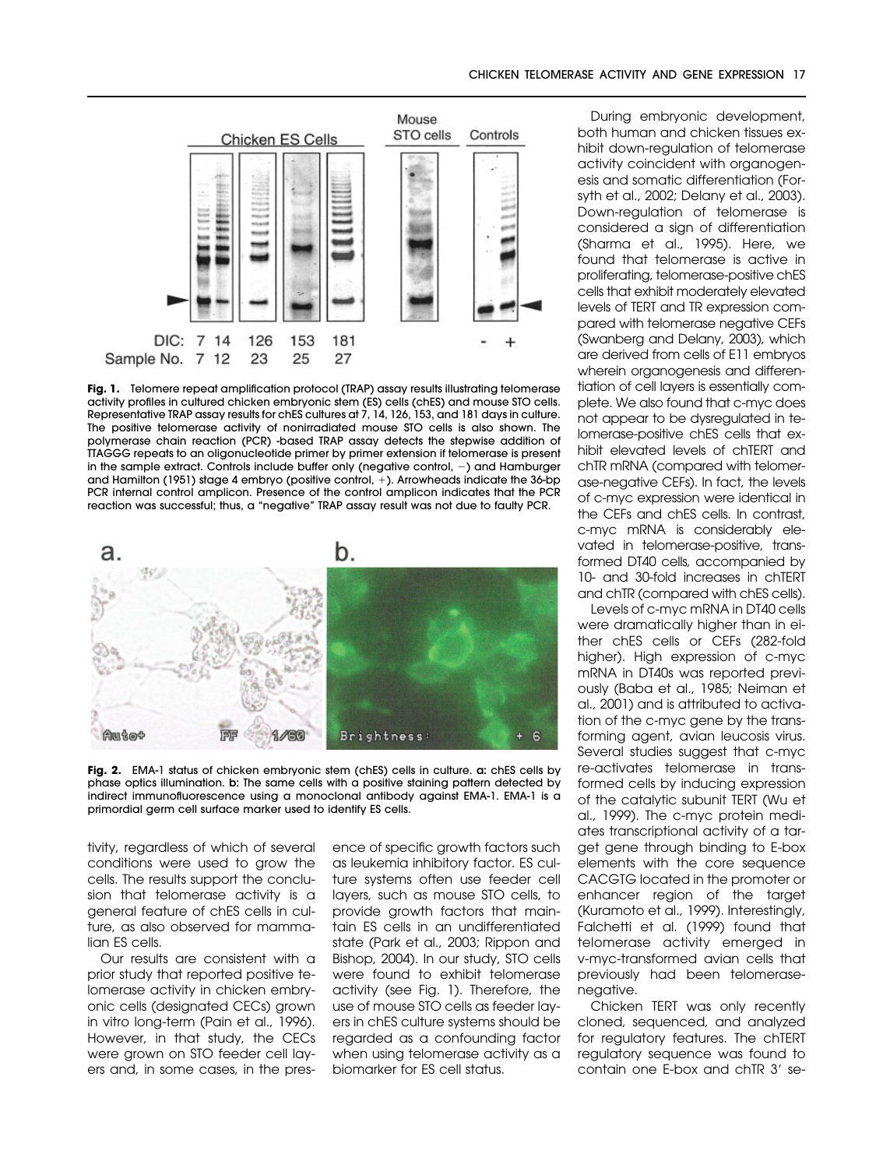

Fig. 1. Telomere repeat amplification protocol (TRAP) assay results illustrating telomerase activity profiles in cultured chicken embryonic stem (ES) cells (chES) and mouse STO cells. Representative TRAP assay results for chES cultures at 7, 14, 126, 153, and 181 days in culture. The positive telomerase activity of nonirradiated mouse STO cells is also shown. The polymerase chain reaction (PCR) -based TRAP assay detects the stepwise addition of TTAGGG repeats to an oligonucleotide primer by primer extension if telomerase is present in the sample extract. Controls include buffer only (negative control,  $-$ ) and Hamburger and Hamilton (1951) stage 4 embryo (positive control, +). Arrowheads indicate the 36-bp PCR internal control amplicon. Presence of the control amplicon indicates that the PCR reaction was successful; thus, a "negative" TRAP assay result was not due to faulty PCR.



**Fig. 2.** EMA-1 status of chicken embryonic stem (chES) cells in culture. **a:** chES cells by phase optics illumination. **b:** The same cells with a positive staining pattern detected by indirect immunofluorescence using a monoclonal antibody against EMA-1. EMA-1 is a primordial germ cell surface marker used to identify ES cells.

tivity, regardless of which of several conditions were used to grow the cells. The results support the conclusion that telomerase activity is a general feature of chES cells in culture, as also observed for mammalian ES cells.

Our results are consistent with a prior study that reported positive telomerase activity in chicken embryonic cells (designated CECs) grown in vitro long-term (Pain et al., 1996). However, in that study, the CECs were grown on STO feeder cell layers and, in some cases, in the pres-

ence of specific growth factors such as leukemia inhibitory factor. ES culture systems often use feeder cell layers, such as mouse STO cells, to provide growth factors that maintain ES cells in an undifferentiated state (Park et al., 2003; Rippon and Bishop, 2004). In our study, STO cells were found to exhibit telomerase activity (see Fig. 1). Therefore, the use of mouse STO cells as feeder layers in chES culture systems should be regarded as a confounding factor when using telomerase activity as a biomarker for ES cell status.

During embryonic development, both human and chicken tissues exhibit down-regulation of telomerase activity coincident with organogenesis and somatic differentiation (Forsyth et al., 2002; Delany et al., 2003). Down-regulation of telomerase is considered a sign of differentiation (Sharma et al., 1995). Here, we found that telomerase is active in proliferating, telomerase-positive chES cells that exhibit moderately elevated levels of TERT and TR expression compared with telomerase negative CEFs (Swanberg and Delany, 2003), which are derived from cells of E11 embryos wherein organogenesis and differentiation of cell layers is essentially complete. We also found that c-myc does not appear to be dysregulated in telomerase-positive chES cells that exhibit elevated levels of chTERT and chTR mRNA (compared with telomerase-negative CEFs). In fact, the levels of c-myc expression were identical in the CEFs and chES cells. In contrast, c-myc mRNA is considerably elevated in telomerase-positive, transformed DT40 cells, accompanied by 10- and 30-fold increases in chTERT and chTR (compared with chES cells).

Levels of c-myc mRNA in DT40 cells were dramatically higher than in either chES cells or CEFs (282-fold higher). High expression of c-myc mRNA in DT40s was reported previously (Baba et al., 1985; Neiman et al., 2001) and is attributed to activation of the c-myc gene by the transforming agent, avian leucosis virus. Several studies suggest that c-myc re-activates telomerase in transformed cells by inducing expression of the catalytic subunit TERT (Wu et al., 1999). The c-myc protein mediates transcriptional activity of a target gene through binding to E-box elements with the core sequence CACGTG located in the promoter or enhancer region of the target (Kuramoto et al., 1999). Interestingly, Falchetti et al. (1999) found that telomerase activity emerged in v-myc-transformed avian cells that previously had been telomerasenegative.

Chicken TERT was only recently cloned, sequenced, and analyzed for regulatory features. The chTERT regulatory sequence was found to contain one E-box and chTR 3' se-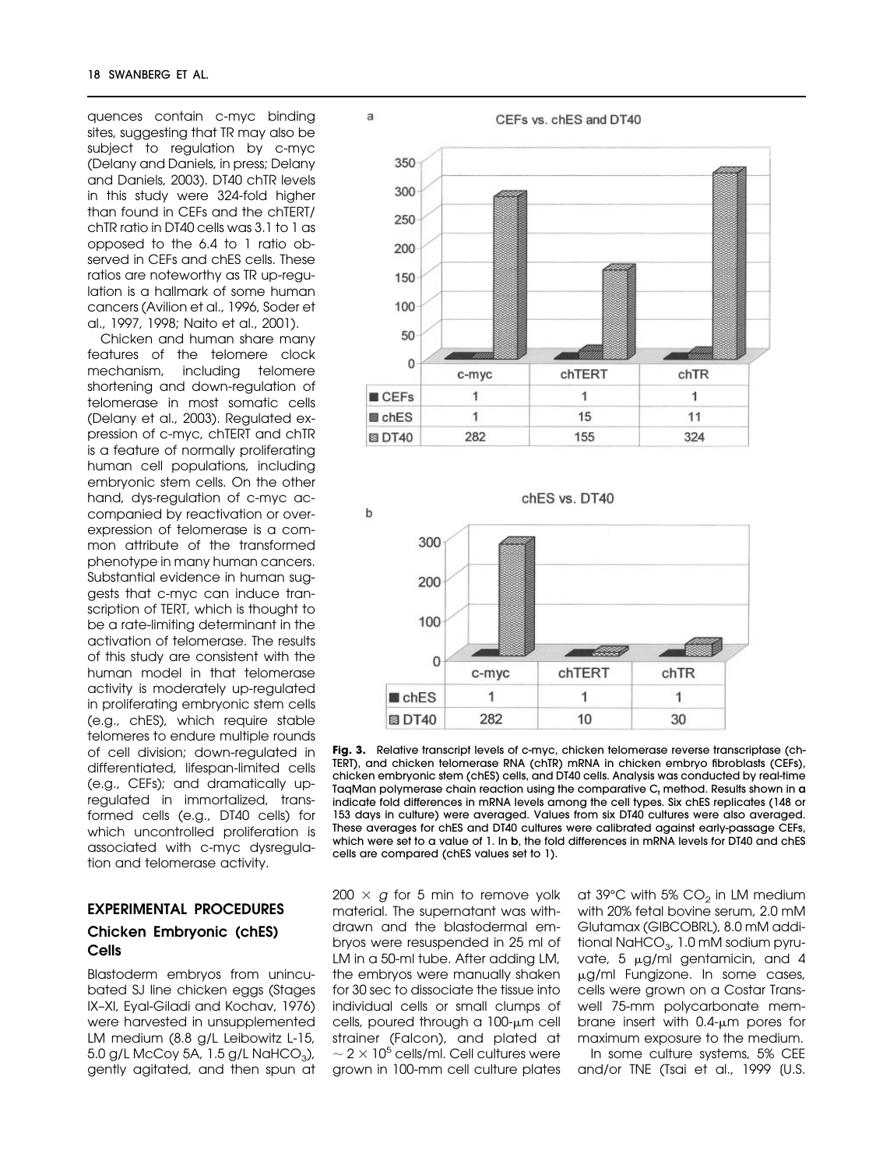quences contain c-myc binding sites, suggesting that TR may also be subject to regulation by c-myc (Delany and Daniels, in press; Delany and Daniels, 2003). DT40 chTR levels in this study were 324-fold higher than found in CEFs and the chTERT/ chTR ratio in DT40 cells was 3.1 to 1 as opposed to the 6.4 to 1 ratio observed in CEFs and chES cells. These ratios are noteworthy as TR up-regulation is a hallmark of some human cancers (Avilion et al., 1996, Soder et al., 1997, 1998; Naito et al., 2001).

Chicken and human share many features of the telomere clock mechanism, including telomere shortening and down-regulation of telomerase in most somatic cells (Delany et al., 2003). Regulated expression of c-myc, chTERT and chTR is a feature of normally proliferating human cell populations, including embryonic stem cells. On the other hand, dys-regulation of c-myc accompanied by reactivation or overexpression of telomerase is a common attribute of the transformed phenotype in many human cancers. Substantial evidence in human suggests that c-myc can induce transcription of TERT, which is thought to be a rate-limiting determinant in the activation of telomerase. The results of this study are consistent with the human model in that telomerase activity is moderately up-regulated in proliferating embryonic stem cells (e.g., chES), which require stable telomeres to endure multiple rounds of cell division; down-regulated in differentiated, lifespan-limited cells (e.g., CEFs); and dramatically upregulated in immortalized, transformed cells (e.g., DT40 cells) for which uncontrolled proliferation is associated with c-myc dysregulation and telomerase activity.

# **EXPERIMENTAL PROCEDURES Chicken Embryonic (chES) Cells**

Blastoderm embryos from unincubated SJ line chicken eggs (Stages IX–XI, Eyal-Giladi and Kochav, 1976) were harvested in unsupplemented LM medium (8.8 g/L Leibowitz L-15, 5.0 g/L McCoy 5A, 1.5 g/L NaHCO<sub>3</sub>), gently agitated, and then spun at





**Fig. 3.** Relative transcript levels of c-myc, chicken telomerase reverse transcriptase (ch-TERT), and chicken telomerase RNA (chTR) mRNA in chicken embryo fibroblasts (CEFs), chicken embryonic stem (chES) cells, and DT40 cells. Analysis was conducted by real-time TaqMan polymerase chain reaction using the comparative  $C_t$  method. Results shown in  $a$ indicate fold differences in mRNA levels among the cell types. Six chES replicates (148 or 153 days in culture) were averaged. Values from six DT40 cultures were also averaged. These averages for chES and DT40 cultures were calibrated against early-passage CEFs, which were set to a value of 1. In **b**, the fold differences in mRNA levels for DT40 and chES cells are compared (chES values set to 1).

 $200 \times g$  for 5 min to remove yolk material. The supernatant was withdrawn and the blastodermal embryos were resuspended in 25 ml of LM in a 50-ml tube. After adding LM, the embryos were manually shaken for 30 sec to dissociate the tissue into individual cells or small clumps of cells, poured through a 100-µm cell strainer (Falcon), and plated at  $\sim$  2  $\times$  10<sup>5</sup> cells/ml. Cell cultures were grown in 100-mm cell culture plates at  $39^{\circ}$ C with  $5\%$  CO<sub>2</sub> in LM medium with 20% fetal bovine serum, 2.0 mM Glutamax (GIBCOBRL), 8.0 mM additional NaHCO $_3$ , 1.0 mM sodium pyruvate, 5  $\mu$ g/ml gentamicin, and 4 g/ml Fungizone. In some cases, cells were grown on a Costar Transwell 75-mm polycarbonate membrane insert with  $0.4$ - $\mu$ m pores for maximum exposure to the medium.

In some culture systems, 5% CEE and/or TNE (Tsai et al., 1999 [U.S.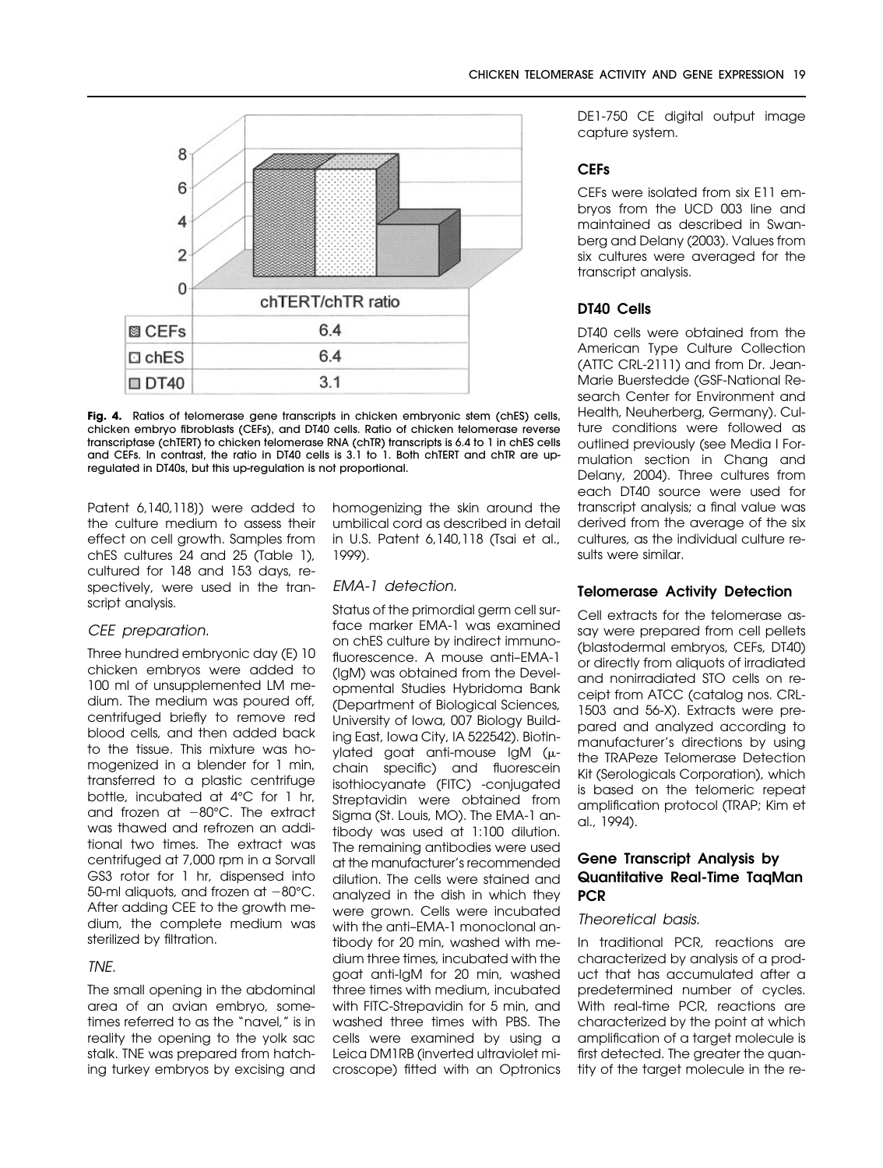

**Fig. 4.** Ratios of telomerase gene transcripts in chicken embryonic stem (chES) cells, chicken embryo fibroblasts (CEFs), and DT40 cells. Ratio of chicken telomerase reverse transcriptase (chTERT) to chicken telomerase RNA (chTR) transcripts is 6.4 to 1 in chES cells and CEFs. In contrast, the ratio in DT40 cells is 3.1 to 1. Both chTERT and chTR are upregulated in DT40s, but this up-regulation is not proportional.

Patent 6,140,118]) were added to the culture medium to assess their effect on cell growth. Samples from chES cultures 24 and 25 (Table 1), cultured for 148 and 153 days, respectively, were used in the transcript analysis.

# CEE preparation.

Three hundred embryonic day (E) 10 chicken embryos were added to 100 ml of unsupplemented LM medium. The medium was poured off, centrifuged briefly to remove red blood cells, and then added back to the tissue. This mixture was homogenized in a blender for 1 min, transferred to a plastic centrifuge bottle, incubated at 4°C for 1 hr, and frozen at  $-80^{\circ}$ C. The extract was thawed and refrozen an additional two times. The extract was centrifuged at 7,000 rpm in a Sorvall GS3 rotor for 1 hr, dispensed into 50-ml aliquots, and frozen at  $-80^{\circ}$ C. After adding CEE to the growth medium, the complete medium was sterilized by filtration.

# TNE.

The small opening in the abdominal area of an avian embryo, sometimes referred to as the "navel," is in reality the opening to the yolk sac stalk. TNE was prepared from hatching turkey embryos by excising and

homogenizing the skin around the umbilical cord as described in detail in U.S. Patent 6,140,118 (Tsai et al., 1999).

## EMA-1 detection.

Status of the primordial germ cell surface marker EMA-1 was examined on chES culture by indirect immunofluorescence. A mouse anti–EMA-1 (IgM) was obtained from the Developmental Studies Hybridoma Bank (Department of Biological Sciences, University of Iowa, 007 Biology Building East, Iowa City, IA 522542). Biotinylated goat anti-mouse IgM  $(\mu$ chain specific) and fluorescein isothiocyanate (FITC) -conjugated Streptavidin were obtained from Sigma (St. Louis, MO). The EMA-1 antibody was used at 1:100 dilution. The remaining antibodies were used at the manufacturer's recommended dilution. The cells were stained and analyzed in the dish in which they were grown. Cells were incubated with the anti–EMA-1 monoclonal antibody for 20 min, washed with medium three times, incubated with the goat anti-IgM for 20 min, washed three times with medium, incubated with FITC-Strepavidin for 5 min, and washed three times with PBS. The cells were examined by using a Leica DM1RB (inverted ultraviolet microscope) fitted with an Optronics DE1-750 CE digital output image capture system.

# **CEFs**

CEFs were isolated from six E11 embryos from the UCD 003 line and maintained as described in Swanberg and Delany (2003). Values from six cultures were averaged for the transcript analysis.

# **DT40 Cells**

DT40 cells were obtained from the American Type Culture Collection (ATTC CRL-2111) and from Dr. Jean-Marie Buerstedde (GSF-National Research Center for Environment and Health, Neuherberg, Germany). Culture conditions were followed as outlined previously (see Media I Formulation section in Chang and Delany, 2004). Three cultures from each DT40 source were used for transcript analysis; a final value was derived from the average of the six cultures, as the individual culture results were similar.

# **Telomerase Activity Detection**

Cell extracts for the telomerase assay were prepared from cell pellets (blastodermal embryos, CEFs, DT40) or directly from aliquots of irradiated and nonirradiated STO cells on receipt from ATCC (catalog nos. CRL-1503 and 56-X). Extracts were prepared and analyzed according to manufacturer's directions by using the TRAPeze Telomerase Detection Kit (Serologicals Corporation), which is based on the telomeric repeat amplification protocol (TRAP; Kim et al., 1994).

# **Gene Transcript Analysis by Quantitative Real-Time TaqMan PCR**

# Theoretical basis.

In traditional PCR, reactions are characterized by analysis of a product that has accumulated after a predetermined number of cycles. With real-time PCR, reactions are characterized by the point at which amplification of a target molecule is first detected. The greater the quantity of the target molecule in the re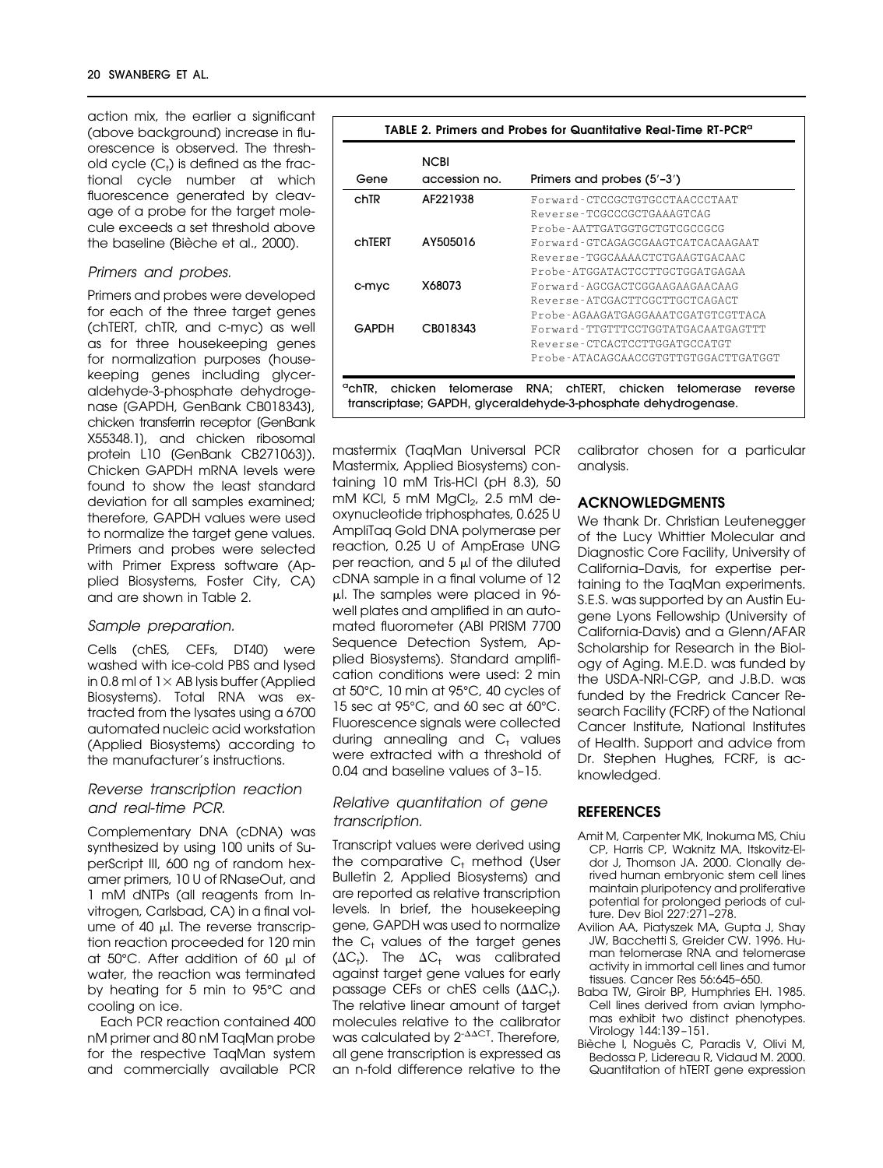action mix, the earlier a significant (above background) increase in fluorescence is observed. The threshold cycle (C<sub>t</sub>) is defined as the fractional cycle number at which fluorescence generated by cleavage of a probe for the target molecule exceeds a set threshold above the baseline (Bièche et al., 2000).

### Primers and probes.

Primers and probes were developed for each of the three target genes (chTERT, chTR, and c-myc) as well as for three housekeeping genes for normalization purposes (housekeeping genes including glyceraldehyde-3-phosphate dehydrogenase [GAPDH, GenBank CB018343], chicken transferrin receptor [GenBank X55348.1], and chicken ribosomal protein L10 [GenBank CB271063]). Chicken GAPDH mRNA levels were found to show the least standard deviation for all samples examined; therefore, GAPDH values were used to normalize the target gene values. Primers and probes were selected with Primer Express software (Applied Biosystems, Foster City, CA) and are shown in Table 2.

#### Sample preparation.

Cells (chES, CEFs, DT40) were washed with ice-cold PBS and lysed in 0.8 ml of  $1 \times$  AB lysis buffer (Applied Biosystems). Total RNA was extracted from the lysates using a 6700 automated nucleic acid workstation (Applied Biosystems) according to the manufacturer's instructions.

## Reverse transcription reaction and real-time PCR.

Complementary DNA (cDNA) was synthesized by using 100 units of SuperScript III, 600 ng of random hexamer primers, 10 U of RNaseOut, and 1 mM dNTPs (all reagents from Invitrogen, Carlsbad, CA) in a final volume of 40  $\mu$ l. The reverse transcription reaction proceeded for 120 min at  $50^{\circ}$ C. After addition of 60  $\mu$  of water, the reaction was terminated by heating for 5 min to 95°C and cooling on ice.

Each PCR reaction contained 400 nM primer and 80 nM TaqMan probe for the respective TaqMan system and commercially available PCR

|        | <b>NCBI</b>   |                                      |  |  |  |
|--------|---------------|--------------------------------------|--|--|--|
| Gene   | accession no. | Primers and probes (5'-3')           |  |  |  |
| chTR   | AF221938      | Forward-CTCCGCTGTGCCTAACCCTAAT       |  |  |  |
|        |               | Reverse-TCGCCCCCTGAAAGTCAG           |  |  |  |
|        |               | Probe-AATTGATGGTGCTGTCGCCGCG         |  |  |  |
| chTERT | AY505016      | Forward-GTCAGAGCGAAGTCATCACAAGAAT    |  |  |  |
|        |               | Reverse-TGGCAAAACTCTGAAGTGACAAC      |  |  |  |
|        |               | Probe-ATGGATACTCCTTGCTGGATGAGAA      |  |  |  |
| c-myc  | X68073        | Forward-AGCGACTCGGAAGAAGAACAAG       |  |  |  |
|        |               | Reverse-ATCGACTTCGCTTGCTCAGACT       |  |  |  |
|        |               | Probe-AGAAGATGAGGAAATCGATGTCGTTACA   |  |  |  |
| GAPDH  | CB018343      | Forward-TTGTTTCCTGGTATGACAATGAGTTT   |  |  |  |
|        |               | Reverse-CTCACTCCTTGGATGCCATGT        |  |  |  |
|        |               | Probe-ATACAGCAACCGTGTTGTGGACTTGATGGT |  |  |  |

mastermix (TaqMan Universal PCR Mastermix, Applied Biosystems) containing 10 mM Tris-HCl (pH 8.3), 50 mM KCl, 5 mM  $MgCl<sub>2</sub>$ , 2.5 mM deoxynucleotide triphosphates, 0.625 U AmpliTaq Gold DNA polymerase per reaction, 0.25 U of AmpErase UNG per reaction, and  $5 \mu l$  of the diluted cDNA sample in a final volume of 12 l. The samples were placed in 96 well plates and amplified in an automated fluorometer (ABI PRISM 7700 Sequence Detection System, Applied Biosystems). Standard amplification conditions were used: 2 min at 50°C, 10 min at 95°C, 40 cycles of 15 sec at 95°C, and 60 sec at 60°C. Fluorescence signals were collected during annealing and  $C_t$  values were extracted with a threshold of 0.04 and baseline values of 3–15.

## Relative quantitation of gene transcription.

Transcript values were derived using the comparative  $C_t$  method (User Bulletin 2, Applied Biosystems) and are reported as relative transcription levels. In brief, the housekeeping gene, GAPDH was used to normalize the  $C_t$  values of the target genes ( $\Delta C_{\scriptscriptstyle\dagger}$ ). The  $\Delta C_{\scriptscriptstyle\dagger}$  was calibrated against target gene values for early passage CEFs or chES cells  $(\Delta \Delta C_{\dagger})$ . The relative linear amount of target molecules relative to the calibrator was calculated by  $2^{-\Delta\Delta CT}$ . Therefore, all gene transcription is expressed as an n-fold difference relative to the calibrator chosen for a particular analysis.

### **ACKNOWLEDGMENTS**

We thank Dr. Christian Leutenegger of the Lucy Whittier Molecular and Diagnostic Core Facility, University of California–Davis, for expertise pertaining to the TaqMan experiments. S.E.S. was supported by an Austin Eugene Lyons Fellowship (University of California-Davis) and a Glenn/AFAR Scholarship for Research in the Biology of Aging. M.E.D. was funded by the USDA-NRI-CGP, and J.B.D. was funded by the Fredrick Cancer Research Facility (FCRF) of the National Cancer Institute, National Institutes of Health. Support and advice from Dr. Stephen Hughes, FCRF, is acknowledged.

### **REFERENCES**

- Amit M, Carpenter MK, Inokuma MS, Chiu CP, Harris CP, Waknitz MA, Itskovitz-Eldor J, Thomson JA. 2000. Clonally derived human embryonic stem cell lines maintain pluripotency and proliferative potential for prolonged periods of culture. Dev Biol 227:271–278.
- Avilion AA, Piatyszek MA, Gupta J, Shay JW, Bacchetti S, Greider CW. 1996. Human telomerase RNA and telomerase activity in immortal cell lines and tumor tissues. Cancer Res 56:645–650.
- Baba TW, Giroir BP, Humphries EH. 1985. Cell lines derived from avian lymphomas exhibit two distinct phenotypes. Virology 144:139 –151.
- Bièche I, Noguès C, Paradis V, Olivi M, Bedossa P, Lidereau R, Vidaud M. 2000. Quantitation of hTERT gene expression